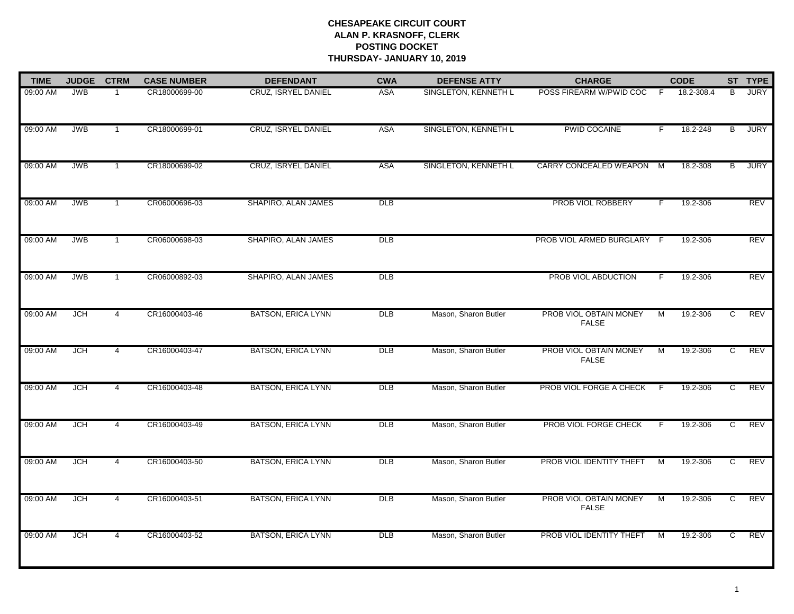| <b>TIME</b> | <b>JUDGE</b> | <b>CTRM</b>    | <b>CASE NUMBER</b> | <b>DEFENDANT</b>           | <b>CWA</b>      | <b>DEFENSE ATTY</b>  | <b>CHARGE</b>                          |    | <b>CODE</b> |   | ST TYPE     |
|-------------|--------------|----------------|--------------------|----------------------------|-----------------|----------------------|----------------------------------------|----|-------------|---|-------------|
| 09:00 AM    | <b>JWB</b>   |                | CR18000699-00      | <b>CRUZ, ISRYEL DANIEL</b> | <b>ASA</b>      | SINGLETON, KENNETH L | POSS FIREARM W/PWID COC                | -F | 18.2-308.4  | B | <b>JURY</b> |
| 09:00 AM    | <b>JWB</b>   | -1             | CR18000699-01      | CRUZ, ISRYEL DANIEL        | <b>ASA</b>      | SINGLETON, KENNETH L | PWID COCAINE                           | F. | 18.2-248    | В | <b>JURY</b> |
| 09:00 AM    | <b>JWB</b>   | $\overline{1}$ | CR18000699-02      | CRUZ, ISRYEL DANIEL        | <b>ASA</b>      | SINGLETON, KENNETH L | CARRY CONCEALED WEAPON M               |    | 18.2-308    | B | <b>JURY</b> |
| 09:00 AM    | <b>JWB</b>   | $\mathbf{1}$   | CR06000696-03      | SHAPIRO, ALAN JAMES        | DLB             |                      | PROB VIOL ROBBERY                      | F. | 19.2-306    |   | REV         |
| 09:00 AM    | <b>JWB</b>   | $\mathbf{1}$   | CR06000698-03      | SHAPIRO, ALAN JAMES        | <b>DLB</b>      |                      | PROB VIOL ARMED BURGLARY               | -F | 19.2-306    |   | <b>REV</b>  |
| 09:00 AM    | <b>JWB</b>   | $\mathbf{1}$   | CR06000892-03      | SHAPIRO, ALAN JAMES        | DLB             |                      | PROB VIOL ABDUCTION                    | F. | 19.2-306    |   | <b>REV</b>  |
| 09:00 AM    | <b>JCH</b>   | $\overline{4}$ | CR16000403-46      | <b>BATSON, ERICA LYNN</b>  | DLB             | Mason, Sharon Butler | PROB VIOL OBTAIN MONEY<br><b>FALSE</b> | M  | 19.2-306    | C | <b>REV</b>  |
| 09:00 AM    | <b>JCH</b>   | $\overline{4}$ | CR16000403-47      | <b>BATSON, ERICA LYNN</b>  | <b>DLB</b>      | Mason, Sharon Butler | PROB VIOL OBTAIN MONEY<br><b>FALSE</b> | M  | 19.2-306    | c | REV         |
| 09:00 AM    | <b>JCH</b>   | $\overline{4}$ | CR16000403-48      | <b>BATSON, ERICA LYNN</b>  | DLB             | Mason, Sharon Butler | PROB VIOL FORGE A CHECK                | -F | 19.2-306    | C | <b>REV</b>  |
| 09:00 AM    | <b>JCH</b>   | $\overline{4}$ | CR16000403-49      | <b>BATSON, ERICA LYNN</b>  | DLB             | Mason, Sharon Butler | PROB VIOL FORGE CHECK                  | F. | 19.2-306    | C | REV         |
| 09:00 AM    | <b>JCH</b>   | 4              | CR16000403-50      | <b>BATSON, ERICA LYNN</b>  | DLB             | Mason, Sharon Butler | PROB VIOL IDENTITY THEFT               | M  | 19.2-306    | C | REV         |
| 09:00 AM    | JCH          | $\overline{4}$ | CR16000403-51      | <b>BATSON, ERICA LYNN</b>  | <b>DLB</b>      | Mason, Sharon Butler | PROB VIOL OBTAIN MONEY<br><b>FALSE</b> | M  | 19.2-306    | C | <b>REV</b>  |
| 09:00 AM    | <b>JCH</b>   | $\overline{4}$ | CR16000403-52      | <b>BATSON, ERICA LYNN</b>  | $_{\text{DLB}}$ | Mason, Sharon Butler | PROB VIOL IDENTITY THEFT               | M  | 19.2-306    | C | REV         |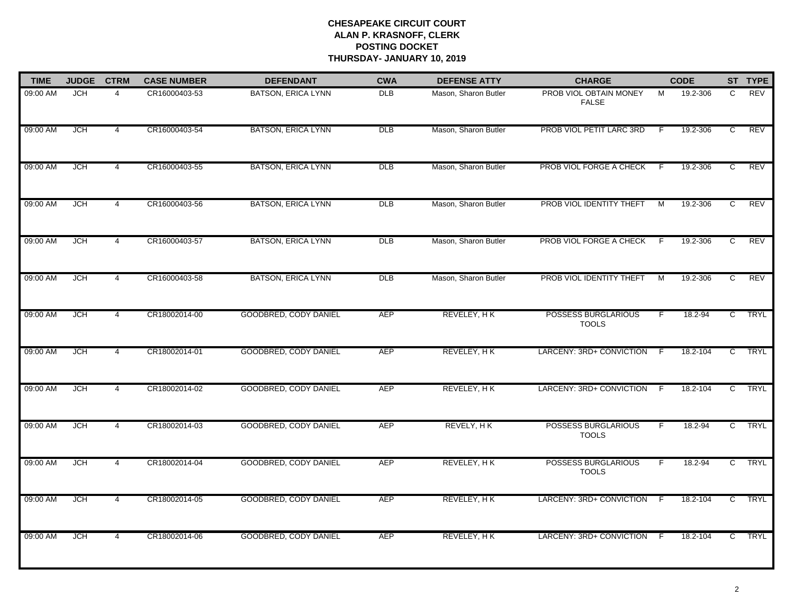| <b>TIME</b> | <b>JUDGE</b> | <b>CTRM</b>    | <b>CASE NUMBER</b> | <b>DEFENDANT</b>             | <b>CWA</b> | <b>DEFENSE ATTY</b>  | <b>CHARGE</b>                              |     | <b>CODE</b> |                | ST TYPE     |
|-------------|--------------|----------------|--------------------|------------------------------|------------|----------------------|--------------------------------------------|-----|-------------|----------------|-------------|
| 09:00 AM    | <b>JCH</b>   | $\overline{4}$ | CR16000403-53      | <b>BATSON, ERICA LYNN</b>    | <b>DLB</b> | Mason, Sharon Butler | PROB VIOL OBTAIN MONEY<br><b>FALSE</b>     | М   | 19.2-306    | C              | REV         |
| 09:00 AM    | JCH          | $\overline{4}$ | CR16000403-54      | <b>BATSON, ERICA LYNN</b>    | DLB        | Mason, Sharon Butler | PROB VIOL PETIT LARC 3RD                   | -F  | 19.2-306    | C              | REV         |
| 09:00 AM    | <b>JCH</b>   | $\overline{4}$ | CR16000403-55      | <b>BATSON, ERICA LYNN</b>    | DLB        | Mason, Sharon Butler | PROB VIOL FORGE A CHECK                    | -F  | 19.2-306    | C              | REV         |
| 09:00 AM    | <b>JCH</b>   | 4              | CR16000403-56      | <b>BATSON, ERICA LYNN</b>    | DLB        | Mason, Sharon Butler | PROB VIOL IDENTITY THEFT                   | м   | 19.2-306    | C              | REV         |
| 09:00 AM    | JCH          | 4              | CR16000403-57      | <b>BATSON, ERICA LYNN</b>    | DLB        | Mason, Sharon Butler | PROB VIOL FORGE A CHECK                    | -F  | 19.2-306    | C              | REV         |
| 09:00 AM    | <b>JCH</b>   | 4              | CR16000403-58      | <b>BATSON, ERICA LYNN</b>    | <b>DLB</b> | Mason, Sharon Butler | PROB VIOL IDENTITY THEFT                   | M   | 19.2-306    | C              | REV         |
| 09:00 AM    | <b>JCH</b>   | 4              | CR18002014-00      | GOODBRED, CODY DANIEL        | <b>AEP</b> | REVELEY, HK          | POSSESS BURGLARIOUS<br><b>TOOLS</b>        | F   | 18.2-94     | $\mathsf{C}$   | <b>TRYL</b> |
| 09:00 AM    | <b>JCH</b>   | $\overline{4}$ | CR18002014-01      | <b>GOODBRED, CODY DANIEL</b> | <b>AEP</b> | REVELEY, HK          | LARCENY: 3RD+ CONVICTION                   | - F | 18.2-104    | $\overline{c}$ | <b>TRYL</b> |
| 09:00 AM    | <b>JCH</b>   | $\overline{4}$ | CR18002014-02      | <b>GOODBRED, CODY DANIEL</b> | <b>AEP</b> | REVELEY, HK          | LARCENY: 3RD+ CONVICTION                   | -F  | 18.2-104    | C              | <b>TRYL</b> |
| 09:00 AM    | <b>JCH</b>   | 4              | CR18002014-03      | GOODBRED, CODY DANIEL        | <b>AEP</b> | REVELY, HK           | <b>POSSESS BURGLARIOUS</b><br><b>TOOLS</b> | F   | 18.2-94     | $\overline{c}$ | <b>TRYL</b> |
| 09:00 AM    | JCH          | 4              | CR18002014-04      | <b>GOODBRED, CODY DANIEL</b> | AEP        | REVELEY, HK          | POSSESS BURGLARIOUS<br><b>TOOLS</b>        | F   | 18.2-94     | C.             | <b>TRYL</b> |
| 09:00 AM    | <b>JCH</b>   | 4              | CR18002014-05      | GOODBRED, CODY DANIEL        | <b>AEP</b> | REVELEY, HK          | LARCENY: 3RD+ CONVICTION F                 |     | 18.2-104    | $\mathsf{C}$   | <b>TRYL</b> |
| 09:00 AM    | <b>JCH</b>   | 4              | CR18002014-06      | <b>GOODBRED, CODY DANIEL</b> | <b>AEP</b> | REVELEY, HK          | LARCENY: 3RD+ CONVICTION                   | - F | 18.2-104    | C              | <b>TRYL</b> |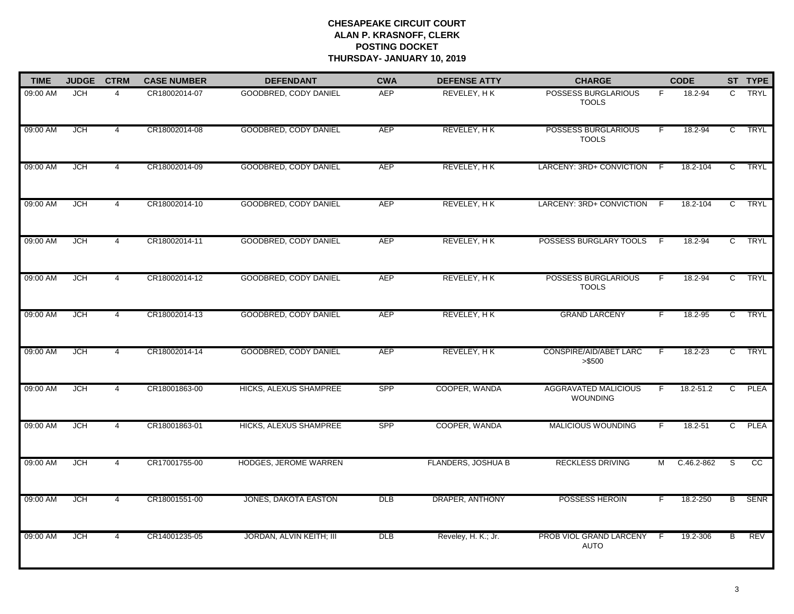| <b>TIME</b> | <b>JUDGE</b> | <b>CTRM</b>    | <b>CASE NUMBER</b> | <b>DEFENDANT</b>              | <b>CWA</b>      | <b>DEFENSE ATTY</b>       | <b>CHARGE</b>                                  |    | <b>CODE</b>   |                | ST TYPE         |
|-------------|--------------|----------------|--------------------|-------------------------------|-----------------|---------------------------|------------------------------------------------|----|---------------|----------------|-----------------|
| 09:00 AM    | <b>JCH</b>   | $\overline{4}$ | CR18002014-07      | <b>GOODBRED, CODY DANIEL</b>  | <b>AEP</b>      | REVELEY, HK               | POSSESS BURGLARIOUS<br><b>TOOLS</b>            | F. | 18.2-94       | $\mathsf{C}$   | <b>TRYL</b>     |
| 09:00 AM    | <b>JCH</b>   | $\overline{4}$ | CR18002014-08      | GOODBRED, CODY DANIEL         | <b>AEP</b>      | REVELEY, HK               | POSSESS BURGLARIOUS<br><b>TOOLS</b>            | F  | $18.2 - 94$   | $\mathsf{C}$   | <b>TRYL</b>     |
| 09:00 AM    | <b>JCH</b>   | $\overline{4}$ | CR18002014-09      | <b>GOODBRED, CODY DANIEL</b>  | <b>AEP</b>      | REVELEY, HK               | LARCENY: 3RD+ CONVICTION                       | -F | 18.2-104      | $\overline{c}$ | <b>TRYL</b>     |
| 09:00 AM    | <b>JCH</b>   | 4              | CR18002014-10      | <b>GOODBRED, CODY DANIEL</b>  | <b>AEP</b>      | REVELEY, HK               | LARCENY: 3RD+ CONVICTION                       | -F | 18.2-104      | $\mathbf{C}$   | <b>TRYL</b>     |
| 09:00 AM    | <b>JCH</b>   | $\overline{4}$ | CR18002014-11      | <b>GOODBRED, CODY DANIEL</b>  | <b>AEP</b>      | REVELEY, HK               | POSSESS BURGLARY TOOLS                         | -F | 18.2-94       | $\mathsf{C}$   | <b>TRYL</b>     |
| 09:00 AM    | <b>JCH</b>   | $\overline{4}$ | CR18002014-12      | GOODBRED, CODY DANIEL         | <b>AEP</b>      | REVELEY, HK               | POSSESS BURGLARIOUS<br><b>TOOLS</b>            |    | 18.2-94       | $\overline{C}$ | <b>TRYL</b>     |
| 09:00 AM    | <b>JCH</b>   | $\overline{4}$ | CR18002014-13      | GOODBRED, CODY DANIEL         | <b>AEP</b>      | REVELEY, HK               | <b>GRAND LARCENY</b>                           | F  | 18.2-95       | $\overline{c}$ | <b>TRYL</b>     |
| 09:00 AM    | <b>JCH</b>   | $\overline{4}$ | CR18002014-14      | <b>GOODBRED, CODY DANIEL</b>  | <b>AEP</b>      | REVELEY, HK               | <b>CONSPIRE/AID/ABET LARC</b><br>> \$500       | F. | $18.2 - 23$   | $\overline{c}$ | <b>TRYL</b>     |
| 09:00 AM    | <b>JCH</b>   | 4              | CR18001863-00      | <b>HICKS, ALEXUS SHAMPREE</b> | <b>SPP</b>      | COOPER, WANDA             | <b>AGGRAVATED MALICIOUS</b><br><b>WOUNDING</b> | F  | $18.2 - 51.2$ | $\mathsf{C}$   | <b>PLEA</b>     |
| 09:00 AM    | <b>JCH</b>   | $\overline{4}$ | CR18001863-01      | <b>HICKS, ALEXUS SHAMPREE</b> | <b>SPP</b>      | COOPER, WANDA             | <b>MALICIOUS WOUNDING</b>                      | F. | 18.2-51       | $\overline{c}$ | <b>PLEA</b>     |
| 09:00 AM    | <b>JCH</b>   | $\overline{4}$ | CR17001755-00      | HODGES, JEROME WARREN         |                 | <b>FLANDERS, JOSHUA B</b> | <b>RECKLESS DRIVING</b>                        | M  | C.46.2-862    | S.             | $\overline{cc}$ |
| 09:00 AM    | <b>JCH</b>   | $\overline{4}$ | CR18001551-00      | <b>JONES, DAKOTA EASTON</b>   | <b>DLB</b>      | DRAPER, ANTHONY           | <b>POSSESS HEROIN</b>                          | F. | 18.2-250      | $\overline{B}$ | <b>SENR</b>     |
| 09:00 AM    | <b>JCH</b>   | $\overline{4}$ | CR14001235-05      | JORDAN, ALVIN KEITH; III      | $_{\text{DLB}}$ | Reveley, H. K.; Jr.       | PROB VIOL GRAND LARCENY<br><b>AUTO</b>         | -F | 19.2-306      | B              | REV             |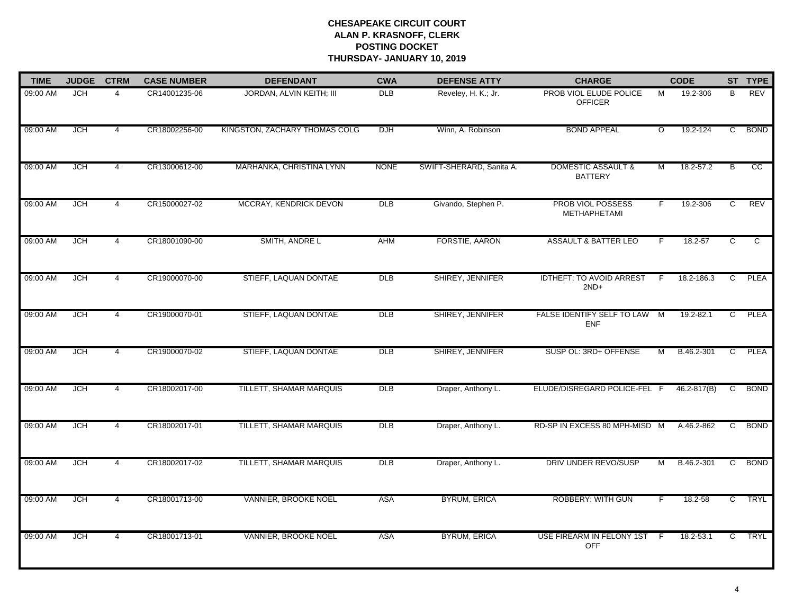| <b>TIME</b> | <b>JUDGE</b> | <b>CTRM</b>    | <b>CASE NUMBER</b> | <b>DEFENDANT</b>              | <b>CWA</b>     | <b>DEFENSE ATTY</b>      | <b>CHARGE</b>                                   |                    | <b>CODE</b>     |                | ST TYPE     |
|-------------|--------------|----------------|--------------------|-------------------------------|----------------|--------------------------|-------------------------------------------------|--------------------|-----------------|----------------|-------------|
| 09:00 AM    | <b>JCH</b>   | $\overline{4}$ | CR14001235-06      | JORDAN, ALVIN KEITH; III      | <b>DLB</b>     | Reveley, H. K.; Jr.      | PROB VIOL ELUDE POLICE<br><b>OFFICER</b>        | M                  | 19.2-306        | B              | <b>REV</b>  |
| 09:00 AM    | <b>JCH</b>   | $\overline{4}$ | CR18002256-00      | KINGSTON, ZACHARY THOMAS COLG | <b>DJH</b>     | Winn, A. Robinson        | <b>BOND APPEAL</b>                              | $\overline{\circ}$ | 19.2-124        | C              | <b>BOND</b> |
| 09:00 AM    | <b>JCH</b>   | $\overline{4}$ | CR13000612-00      | MARHANKA, CHRISTINA LYNN      | <b>NONE</b>    | SWIFT-SHERARD, Sanita A. | <b>DOMESTIC ASSAULT &amp;</b><br><b>BATTERY</b> | M                  | 18.2-57.2       | В              | cc          |
| 09:00 AM    | <b>JCH</b>   | 4              | CR15000027-02      | MCCRAY, KENDRICK DEVON        | $\overline{D}$ | Givando, Stephen P.      | <b>PROB VIOL POSSESS</b><br>METHAPHETAMI        | F                  | 19.2-306        | C              | <b>REV</b>  |
| 09:00 AM    | <b>JCH</b>   | $\overline{4}$ | CR18001090-00      | SMITH, ANDRE L                | <b>AHM</b>     | <b>FORSTIE, AARON</b>    | <b>ASSAULT &amp; BATTER LEO</b>                 | F.                 | 18.2-57         | C              | C           |
| 09:00 AM    | <b>JCH</b>   | $\overline{4}$ | CR19000070-00      | STIEFF, LAQUAN DONTAE         | <b>DLB</b>     | <b>SHIREY, JENNIFER</b>  | <b>IDTHEFT: TO AVOID ARREST</b><br>$2ND+$       |                    | 18.2-186.3      | d              | <b>PLEA</b> |
| 09:00 AM    | <b>JCH</b>   | $\overline{4}$ | CR19000070-01      | STIEFF, LAQUAN DONTAE         | DLB            | SHIREY, JENNIFER         | FALSE IDENTIFY SELF TO LAW M<br><b>ENF</b>      |                    | 19.2-82.1       | $\overline{c}$ | <b>PLEA</b> |
| 09:00 AM    | <b>JCH</b>   | $\overline{4}$ | CR19000070-02      | STIEFF, LAQUAN DONTAE         | <b>DLB</b>     | SHIREY, JENNIFER         | SUSP OL: 3RD+ OFFENSE                           | м                  | B.46.2-301      | C              | <b>PLEA</b> |
| 09:00 AM    | <b>JCH</b>   | 4              | CR18002017-00      | TILLETT, SHAMAR MARQUIS       | DLB            | Draper, Anthony L.       | ELUDE/DISREGARD POLICE-FEL F                    |                    | $46.2 - 817(B)$ | C              | <b>BOND</b> |
| 09:00 AM    | <b>JCH</b>   | 4              | CR18002017-01      | TILLETT, SHAMAR MARQUIS       | <b>DLB</b>     | Draper, Anthony L.       | RD-SP IN EXCESS 80 MPH-MISD M                   |                    | A.46.2-862      | $\overline{C}$ | <b>BOND</b> |
| 09:00 AM    | <b>JCH</b>   | $\overline{4}$ | CR18002017-02      | TILLETT, SHAMAR MARQUIS       | DLB            | Draper, Anthony L.       | DRIV UNDER REVO/SUSP                            | м                  | B.46.2-301      | C              | <b>BOND</b> |
| 09:00 AM    | <b>JCH</b>   | $\overline{4}$ | CR18001713-00      | VANNIER, BROOKE NOEL          | <b>ASA</b>     | <b>BYRUM, ERICA</b>      | <b>ROBBERY: WITH GUN</b>                        | F                  | 18.2-58         | C              | <b>TRYL</b> |
| 09:00 AM    | <b>JCH</b>   | $\overline{4}$ | CR18001713-01      | VANNIER, BROOKE NOEL          | <b>ASA</b>     | <b>BYRUM, ERICA</b>      | USE FIREARM IN FELONY 1ST<br><b>OFF</b>         | - F                | 18.2-53.1       | $\overline{C}$ | <b>TRYL</b> |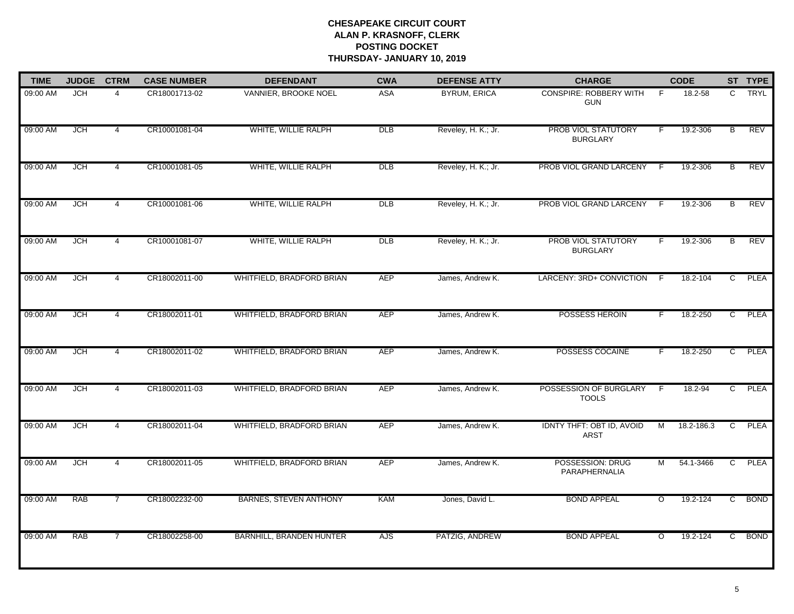| <b>TIME</b> | <b>JUDGE</b> | <b>CTRM</b>    | <b>CASE NUMBER</b> | <b>DEFENDANT</b>                 | <b>CWA</b>      | <b>DEFENSE ATTY</b> | <b>CHARGE</b>                                   |                | <b>CODE</b> |                | ST TYPE     |
|-------------|--------------|----------------|--------------------|----------------------------------|-----------------|---------------------|-------------------------------------------------|----------------|-------------|----------------|-------------|
| 09:00 AM    | <b>JCH</b>   | $\overline{4}$ | CR18001713-02      | VANNIER, BROOKE NOEL             | <b>ASA</b>      | <b>BYRUM, ERICA</b> | <b>CONSPIRE: ROBBERY WITH</b><br><b>GUN</b>     | - F            | 18.2-58     | C              | <b>TRYL</b> |
| 09:00 AM    | <b>JCH</b>   | $\overline{4}$ | CR10001081-04      | WHITE, WILLIE RALPH              | DLB             | Reveley, H. K.; Jr. | PROB VIOL STATUTORY<br><b>BURGLARY</b>          | F              | 19.2-306    | B              | <b>REV</b>  |
| 09:00 AM    | <b>JCH</b>   | $\overline{4}$ | CR10001081-05      | WHITE, WILLIE RALPH              | <b>DLB</b>      | Reveley, H. K.; Jr. | PROB VIOL GRAND LARCENY                         | -F             | 19.2-306    | В              | <b>REV</b>  |
| 09:00 AM    | <b>JCH</b>   | $\overline{4}$ | CR10001081-06      | WHITE, WILLIE RALPH              | DLB             | Reveley, H. K.; Jr. | PROB VIOL GRAND LARCENY                         | -F             | 19.2-306    | B              | <b>REV</b>  |
| 09:00 AM    | <b>JCH</b>   | $\overline{4}$ | CR10001081-07      | WHITE, WILLIE RALPH              | $_{\text{DLB}}$ | Reveley, H. K.; Jr. | <b>PROB VIOL STATUTORY</b><br><b>BURGLARY</b>   | F.             | 19.2-306    | B              | REV         |
| 09:00 AM    | <b>JCH</b>   | 4              | CR18002011-00      | <b>WHITFIELD, BRADFORD BRIAN</b> | AEP             | James, Andrew K.    | LARCENY: 3RD+ CONVICTION F                      |                | 18.2-104    | C              | <b>PLEA</b> |
| 09:00 AM    | <b>JCH</b>   | $\overline{4}$ | CR18002011-01      | WHITFIELD, BRADFORD BRIAN        | <b>AEP</b>      | James, Andrew K.    | <b>POSSESS HEROIN</b>                           | E              | 18.2-250    | C              | <b>PLEA</b> |
| 09:00 AM    | <b>JCH</b>   | $\overline{4}$ | CR18002011-02      | WHITFIELD, BRADFORD BRIAN        | <b>AEP</b>      | James, Andrew K.    | POSSESS COCAINE                                 | F              | 18.2-250    | C              | <b>PLEA</b> |
| 09:00 AM    | <b>JCH</b>   | $\overline{4}$ | CR18002011-03      | WHITFIELD, BRADFORD BRIAN        | <b>AEP</b>      | James, Andrew K.    | POSSESSION OF BURGLARY<br><b>TOOLS</b>          | - F            | 18.2-94     | C              | <b>PLEA</b> |
| 09:00 AM    | <b>JCH</b>   | $\overline{4}$ | CR18002011-04      | WHITFIELD, BRADFORD BRIAN        | <b>AEP</b>      | James, Andrew K.    | <b>IDNTY THFT: OBT ID, AVOID</b><br><b>ARST</b> | M              | 18.2-186.3  | C              | <b>PLEA</b> |
| 09:00 AM    | <b>JCH</b>   | 4              | CR18002011-05      | <b>WHITFIELD, BRADFORD BRIAN</b> | <b>AEP</b>      | James, Andrew K.    | POSSESSION: DRUG<br>PARAPHERNALIA               | M              | 54.1-3466   | $\mathbf{C}$   | <b>PLEA</b> |
| 09:00 AM    | <b>RAB</b>   | $\overline{7}$ | CR18002232-00      | <b>BARNES, STEVEN ANTHONY</b>    | <b>KAM</b>      | Jones, David L.     | <b>BOND APPEAL</b>                              | $\overline{O}$ | 19.2-124    | $\overline{c}$ | <b>BOND</b> |
| 09:00 AM    | <b>RAB</b>   | $\overline{7}$ | CR18002258-00      | <b>BARNHILL, BRANDEN HUNTER</b>  | AJS             | PATZIG, ANDREW      | <b>BOND APPEAL</b>                              | $\circ$        | 19.2-124    | $\overline{c}$ | <b>BOND</b> |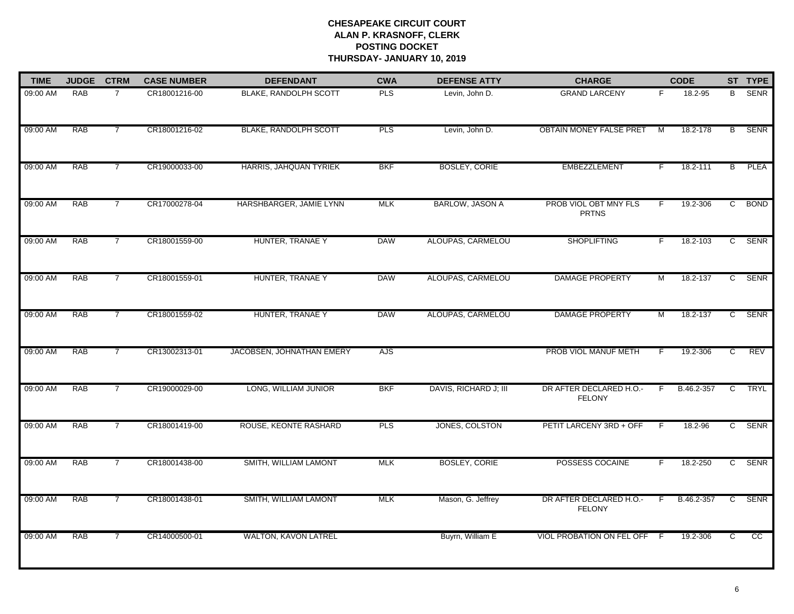| <b>TIME</b> | <b>JUDGE</b> | <b>CTRM</b>    | <b>CASE NUMBER</b> | <b>DEFENDANT</b>          | <b>CWA</b> | <b>DEFENSE ATTY</b>    | <b>CHARGE</b>                            |    | <b>CODE</b> |                | ST TYPE     |
|-------------|--------------|----------------|--------------------|---------------------------|------------|------------------------|------------------------------------------|----|-------------|----------------|-------------|
| 09:00 AM    | <b>RAB</b>   | $\overline{7}$ | CR18001216-00      | BLAKE, RANDOLPH SCOTT     | <b>PLS</b> | Levin, John D.         | <b>GRAND LARCENY</b>                     | F. | 18.2-95     | B              | SENR        |
| 09:00 AM    | <b>RAB</b>   | $\overline{7}$ | CR18001216-02      | BLAKE, RANDOLPH SCOTT     | <b>PLS</b> | Levin, John D.         | <b>OBTAIN MONEY FALSE PRET</b>           | M  | 18.2-178    | В              | <b>SENR</b> |
| 09:00 AM    | <b>RAB</b>   | $\overline{7}$ | CR19000033-00      | HARRIS, JAHQUAN TYRIEK    | <b>BKF</b> | <b>BOSLEY, CORIE</b>   | <b>EMBEZZLEMENT</b>                      | F. | 18.2-111    | $\overline{B}$ | <b>PLEA</b> |
| 09:00 AM    | <b>RAB</b>   | $\overline{7}$ | CR17000278-04      | HARSHBARGER, JAMIE LYNN   | <b>MLK</b> | <b>BARLOW, JASON A</b> | PROB VIOL OBT MNY FLS<br><b>PRTNS</b>    | F. | 19.2-306    | $\mathsf{C}$   | <b>BOND</b> |
| 09:00 AM    | <b>RAB</b>   | $\overline{7}$ | CR18001559-00      | HUNTER, TRANAE Y          | <b>DAW</b> | ALOUPAS, CARMELOU      | <b>SHOPLIFTING</b>                       | F. | 18.2-103    |                | C SENR      |
| 09:00 AM    | RAB          | 7              | CR18001559-01      | HUNTER, TRANAE Y          | <b>DAW</b> | ALOUPAS, CARMELOU      | <b>DAMAGE PROPERTY</b>                   | M  | 18.2-137    |                | C SENR      |
| 09:00 AM    | <b>RAB</b>   | $\overline{7}$ | CR18001559-02      | HUNTER, TRANAE Y          | <b>DAW</b> | ALOUPAS, CARMELOU      | <b>DAMAGE PROPERTY</b>                   | M  | 18.2-137    | $\mathsf{C}$   | <b>SENR</b> |
| 09:00 AM    | <b>RAB</b>   | $\overline{7}$ | CR13002313-01      | JACOBSEN, JOHNATHAN EMERY | AJS        |                        | PROB VIOL MANUF METH                     | F  | 19.2-306    | C              | REV         |
| 09:00 AM    | <b>RAB</b>   | 7              | CR19000029-00      | LONG, WILLIAM JUNIOR      | <b>BKF</b> | DAVIS, RICHARD J; III  | DR AFTER DECLARED H.O.-<br><b>FELONY</b> | F. | B.46.2-357  | C              | TRYL        |
| 09:00 AM    | RAB          | 7              | CR18001419-00      | ROUSE, KEONTE RASHARD     | <b>PLS</b> | JONES, COLSTON         | PETIT LARCENY 3RD + OFF                  | F  | 18.2-96     |                | C SENR      |
| 09:00 AM    | <b>RAB</b>   | $\overline{7}$ | CR18001438-00      | SMITH, WILLIAM LAMONT     | <b>MLK</b> | <b>BOSLEY, CORIE</b>   | POSSESS COCAINE                          |    | 18.2-250    |                | C SENR      |
| 09:00 AM    | <b>RAB</b>   | $\overline{7}$ | CR18001438-01      | SMITH, WILLIAM LAMONT     | <b>MLK</b> | Mason, G. Jeffrey      | DR AFTER DECLARED H.O.-<br><b>FELONY</b> | F. | B.46.2-357  | $\overline{c}$ | <b>SENR</b> |
| 09:00 AM    | <b>RAB</b>   | $\overline{7}$ | CR14000500-01      | WALTON, KAVON LATREL      |            | Buyrn, William E       | VIOL PROBATION ON FEL OFF F              |    | 19.2-306    | $\overline{c}$ | cc          |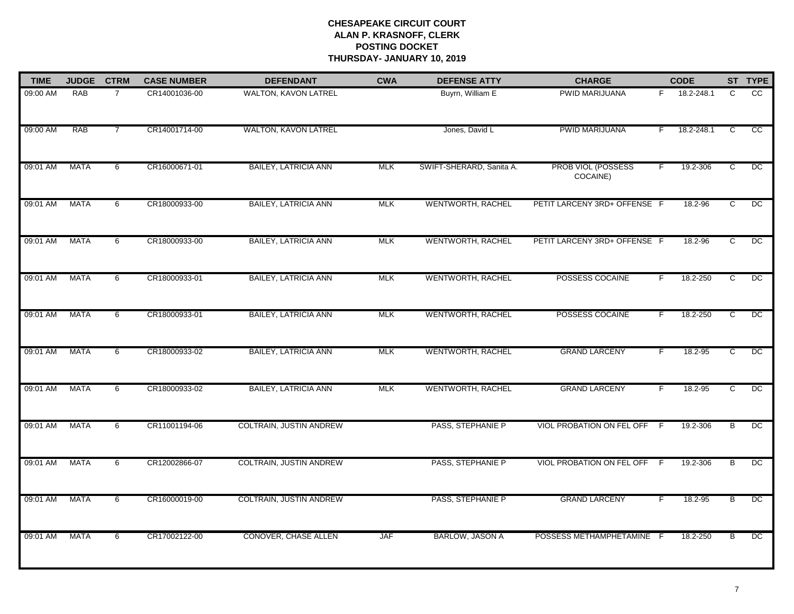| <b>TIME</b> | <b>JUDGE</b> | <b>CTRM</b>    | <b>CASE NUMBER</b> | <b>DEFENDANT</b>            | <b>CWA</b> | <b>DEFENSE ATTY</b>      | <b>CHARGE</b>                  |                | <b>CODE</b> |                | ST TYPE         |
|-------------|--------------|----------------|--------------------|-----------------------------|------------|--------------------------|--------------------------------|----------------|-------------|----------------|-----------------|
| 09:00 AM    | RAB          | $\overline{7}$ | CR14001036-00      | WALTON, KAVON LATREL        |            | Buyrn, William E         | PWID MARIJUANA                 | F.             | 18.2-248.1  | C              | CC              |
| 09:00 AM    | <b>RAB</b>   | $\overline{7}$ | CR14001714-00      | WALTON, KAVON LATREL        |            | Jones, David L           | <b>PWID MARIJUANA</b>          | F              | 18.2-248.1  | C              | $\overline{cc}$ |
| 09:01 AM    | <b>MATA</b>  | 6              | CR16000671-01      | <b>BAILEY, LATRICIA ANN</b> | <b>MLK</b> | SWIFT-SHERARD, Sanita A. | PROB VIOL (POSSESS<br>COCAINE) | F.             | 19.2-306    | $\overline{c}$ | $\overline{DC}$ |
| 09:01 AM    | <b>MATA</b>  | 6              | CR18000933-00      | <b>BAILEY, LATRICIA ANN</b> | <b>MLK</b> | WENTWORTH, RACHEL        | PETIT LARCENY 3RD+ OFFENSE F   |                | 18.2-96     | C              | $\overline{DC}$ |
| 09:01 AM    | <b>MATA</b>  | 6              | CR18000933-00      | <b>BAILEY, LATRICIA ANN</b> | <b>MLK</b> | WENTWORTH, RACHEL        | PETIT LARCENY 3RD+ OFFENSE F   |                | 18.2-96     | $\overline{c}$ | DC              |
| 09:01 AM    | MATA         | 6              | CR18000933-01      | <b>BAILEY, LATRICIA ANN</b> | MLK        | WENTWORTH, RACHEL        | POSSESS COCAINE                |                | 18.2-250    | ट              | DC              |
| 09:01 AM    | <b>MATA</b>  | 6              | CR18000933-01      | <b>BAILEY, LATRICIA ANN</b> | <b>MLK</b> | WENTWORTH, RACHEL        | POSSESS COCAINE                | $\overline{F}$ | 18.2-250    | $\overline{c}$ | DC              |
| 09:01 AM    | <b>MATA</b>  | 6              | CR18000933-02      | <b>BAILEY, LATRICIA ANN</b> | <b>MLK</b> | WENTWORTH, RACHEL        | <b>GRAND LARCENY</b>           | F              | 18.2-95     | C              | DC              |
| 09:01 AM    | <b>MATA</b>  | 6              | CR18000933-02      | <b>BAILEY, LATRICIA ANN</b> | <b>MLK</b> | WENTWORTH, RACHEL        | <b>GRAND LARCENY</b>           | F              | 18.2-95     | C              | $\overline{DC}$ |
| 09:01 AM    | MATA         | 6              | CR11001194-06      | COLTRAIN, JUSTIN ANDREW     |            | PASS, STEPHANIE P        | VIOL PROBATION ON FEL OFF      | - F            | 19.2-306    | в              | DC              |
| 09:01 AM    | <b>MATA</b>  | 6              | CR12002866-07      | COLTRAIN, JUSTIN ANDREW     |            | PASS, STEPHANIE P        | VIOL PROBATION ON FEL OFF F    |                | 19.2-306    | B              | DC              |
| 09:01 AM    | <b>MATA</b>  | 6              | CR16000019-00      | COLTRAIN, JUSTIN ANDREW     |            | PASS, STEPHANIE P        | <b>GRAND LARCENY</b>           | F.             | 18.2-95     | $\overline{B}$ | DC              |
| 09:01 AM    | <b>MATA</b>  | 6              | CR17002122-00      | CONOVER, CHASE ALLEN        | <b>JAF</b> | <b>BARLOW, JASON A</b>   | POSSESS METHAMPHETAMINE F      |                | 18.2-250    | B              | DC              |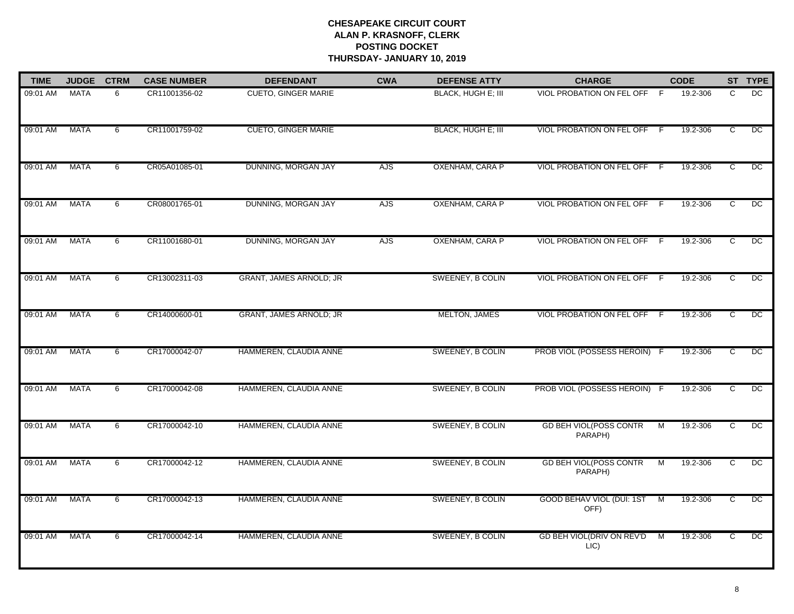| <b>TIME</b> | <b>JUDGE</b> | <b>CTRM</b> | <b>CASE NUMBER</b> | <b>DEFENDANT</b>           | <b>CWA</b>      | <b>DEFENSE ATTY</b>       | <b>CHARGE</b>                            |     | <b>CODE</b> |                | ST TYPE         |
|-------------|--------------|-------------|--------------------|----------------------------|-----------------|---------------------------|------------------------------------------|-----|-------------|----------------|-----------------|
| 09:01 AM    | <b>MATA</b>  | 6           | CR11001356-02      | <b>CUETO, GINGER MARIE</b> |                 | <b>BLACK, HUGH E; III</b> | VIOL PROBATION ON FEL OFF F              |     | 19.2-306    | $\mathsf{C}$   | <b>DC</b>       |
| 09:01 AM    | <b>MATA</b>  | 6           | CR11001759-02      | <b>CUETO, GINGER MARIE</b> |                 | <b>BLACK, HUGH E; III</b> | VIOL PROBATION ON FEL OFF F              |     | 19.2-306    | $\overline{c}$ | $\overline{C}$  |
| 09:01 AM    | <b>MATA</b>  | 6           | CR05A01085-01      | DUNNING, MORGAN JAY        | AJS <sup></sup> | OXENHAM, CARA P           | <b>VIOL PROBATION ON FEL OFF</b>         | -F  | 19.2-306    | $\overline{C}$ | $_{\text{DC}}$  |
| 09:01 AM    | <b>MATA</b>  | 6           | CR08001765-01      | DUNNING, MORGAN JAY        | <b>AJS</b>      | OXENHAM, CARA P           | VIOL PROBATION ON FEL OFF                | - F | 19.2-306    | C              | $\overline{C}$  |
| 09:01 AM    | <b>MATA</b>  | 6           | CR11001680-01      | DUNNING, MORGAN JAY        | <b>AJS</b>      | OXENHAM, CARA P           | VIOL PROBATION ON FEL OFF                | - F | 19.2-306    | C              | $\overline{C}$  |
| 09:01 AM    | MATA         | 6           | CR13002311-03      | GRANT, JAMES ARNOLD; JR    |                 | SWEENEY, B COLIN          | VIOL PROBATION ON FEL OFF                | - F | 19.2-306    | C              | $_{\text{DC}}$  |
| 09:01 AM    | <b>MATA</b>  | 6           | CR14000600-01      | GRANT, JAMES ARNOLD; JR    |                 | MELTON, JAMES             | VIOL PROBATION ON FEL OFF F              |     | 19.2-306    | $\overline{C}$ | DC              |
| 09:01 AM    | <b>MATA</b>  | 6           | CR17000042-07      | HAMMEREN, CLAUDIA ANNE     |                 | SWEENEY, B COLIN          | PROB VIOL (POSSESS HEROIN) F             |     | 19.2-306    | ਟ              | DC              |
| 09:01 AM    | <b>MATA</b>  | 6           | CR17000042-08      | HAMMEREN, CLAUDIA ANNE     |                 | SWEENEY, B COLIN          | PROB VIOL (POSSESS HEROIN) F             |     | 19.2-306    | C              | $_{\text{DC}}$  |
| 09:01 AM    | <b>MATA</b>  | 6           | CR17000042-10      | HAMMEREN, CLAUDIA ANNE     |                 | SWEENEY, B COLIN          | <b>GD BEH VIOL(POSS CONTR</b><br>PARAPH) | M   | 19.2-306    | $\overline{c}$ | DC              |
| 09:01 AM    | <b>MATA</b>  | 6           | CR17000042-12      | HAMMEREN, CLAUDIA ANNE     |                 | SWEENEY, B COLIN          | <b>GD BEH VIOL(POSS CONTR</b><br>PARAPH) | M   | 19.2-306    | C              | DC              |
| 09:01 AM    | <b>MATA</b>  | 6           | CR17000042-13      | HAMMEREN, CLAUDIA ANNE     |                 | <b>SWEENEY, B COLIN</b>   | <b>GOOD BEHAV VIOL (DUI: 1ST</b><br>OFF) | M   | 19.2-306    | C              | $\overline{DC}$ |
| 09:01 AM    | <b>MATA</b>  | 6           | CR17000042-14      | HAMMEREN, CLAUDIA ANNE     |                 | <b>SWEENEY, B COLIN</b>   | GD BEH VIOL(DRIV ON REV'D<br>LI(C)       | M   | 19.2-306    | C              | DC              |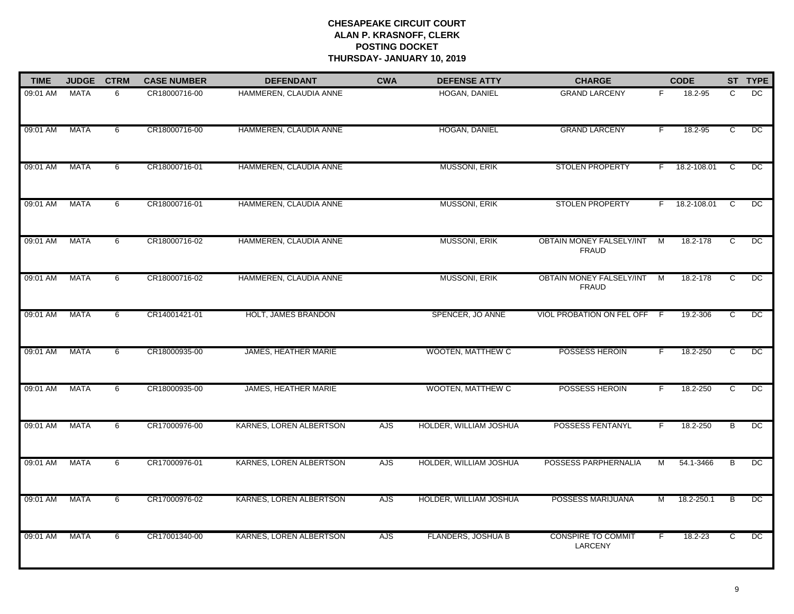| <b>TIME</b> | <b>JUDGE</b> | <b>CTRM</b> | <b>CASE NUMBER</b> | <b>DEFENDANT</b>            | <b>CWA</b> | <b>DEFENSE ATTY</b>       | <b>CHARGE</b>                                   |                | <b>CODE</b>   |                | ST TYPE         |
|-------------|--------------|-------------|--------------------|-----------------------------|------------|---------------------------|-------------------------------------------------|----------------|---------------|----------------|-----------------|
| 09:01 AM    | <b>MATA</b>  | 6           | CR18000716-00      | HAMMEREN, CLAUDIA ANNE      |            | HOGAN, DANIEL             | <b>GRAND LARCENY</b>                            | F.             | 18.2-95       | $\mathsf{C}$   | DC              |
| 09:01 AM    | <b>MATA</b>  | 6           | CR18000716-00      | HAMMEREN, CLAUDIA ANNE      |            | HOGAN, DANIEL             | <b>GRAND LARCENY</b>                            | F              | 18.2-95       | C              | $\overline{C}$  |
| 09:01 AM    | <b>MATA</b>  | 6           | CR18000716-01      | HAMMEREN, CLAUDIA ANNE      |            | MUSSONI, ERIK             | <b>STOLEN PROPERTY</b>                          | F.             | 18.2-108.01   | C              | $\overline{C}$  |
| 09:01 AM    | <b>MATA</b>  | 6           | CR18000716-01      | HAMMEREN, CLAUDIA ANNE      |            | <b>MUSSONI, ERIK</b>      | <b>STOLEN PROPERTY</b>                          |                | F 18.2-108.01 | $\overline{c}$ | $\overline{DC}$ |
| 09:01 AM    | <b>MATA</b>  | 6           | CR18000716-02      | HAMMEREN, CLAUDIA ANNE      |            | MUSSONI, ERIK             | <b>OBTAIN MONEY FALSELY/INT</b><br><b>FRAUD</b> | $\overline{M}$ | 18.2-178      | $\overline{c}$ | $\overline{C}$  |
| 09:01 AM    | MATA         | 6           | CR18000716-02      | HAMMEREN, CLAUDIA ANNE      |            | MUSSONI, ERIK             | OBTAIN MONEY FALSELY/INT<br><b>FRAUD</b>        | $\blacksquare$ | 18.2-178      | C              | DC              |
| 09:01 AM    | <b>MATA</b>  | 6           | CR14001421-01      | HOLT, JAMES BRANDON         |            | SPENCER, JO ANNE          | VIOL PROBATION ON FEL OFF F                     |                | 19.2-306      | C              | $\overline{DC}$ |
| 09:01 AM    | <b>MATA</b>  | 6           | CR18000935-00      | <b>JAMES, HEATHER MARIE</b> |            | <b>WOOTEN, MATTHEW C</b>  | POSSESS HEROIN                                  | F.             | 18.2-250      | $\overline{c}$ | $\overline{C}$  |
| 09:01 AM    | <b>MATA</b>  | 6           | CR18000935-00      | <b>JAMES, HEATHER MARIE</b> |            | <b>WOOTEN, MATTHEW C</b>  | POSSESS HEROIN                                  | F.             | 18.2-250      | $\overline{c}$ | DC              |
| 09:01 AM    | MATA         | 6           | CR17000976-00      | KARNES, LOREN ALBERTSON     | <b>AJS</b> | HOLDER, WILLIAM JOSHUA    | <b>POSSESS FENTANYL</b>                         |                | 18.2-250      | B              | DC              |
| 09:01 AM    | <b>MATA</b>  | 6           | CR17000976-01      | KARNES, LOREN ALBERTSON     | <b>AJS</b> | HOLDER, WILLIAM JOSHUA    | POSSESS PARPHERNALIA                            | м              | 54.1-3466     | B              | $_{\text{DC}}$  |
| 09:01 AM    | <b>MATA</b>  | 6           | CR17000976-02      | KARNES, LOREN ALBERTSON     | AJS        | HOLDER, WILLIAM JOSHUA    | POSSESS MARIJUANA                               | м              | 18.2-250.1    | B              | $\overline{DC}$ |
| 09:01 AM    | <b>MATA</b>  | 6           | CR17001340-00      | KARNES, LOREN ALBERTSON     | AJS        | <b>FLANDERS, JOSHUA B</b> | <b>CONSPIRE TO COMMIT</b><br>LARCENY            | F              | $18.2 - 23$   | C              | $\overline{DC}$ |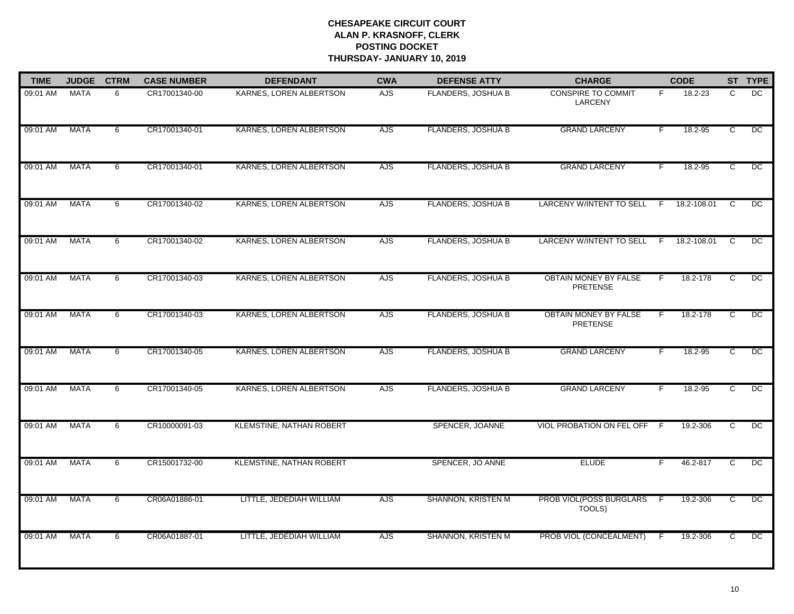| <b>TIME</b> | <b>JUDGE</b> | <b>CTRM</b> | <b>CASE NUMBER</b> | <b>DEFENDANT</b>                | <b>CWA</b> | <b>DEFENSE ATTY</b>       | <b>CHARGE</b>                                   |                | <b>CODE</b>   |                | ST TYPE        |
|-------------|--------------|-------------|--------------------|---------------------------------|------------|---------------------------|-------------------------------------------------|----------------|---------------|----------------|----------------|
| 09:01 AM    | <b>MATA</b>  | 6           | CR17001340-00      | KARNES, LOREN ALBERTSON         | <b>AJS</b> | FLANDERS, JOSHUA B        | <b>CONSPIRE TO COMMIT</b><br><b>LARCENY</b>     | F.             | 18.2-23       | C              | DC             |
| 09:01 AM    | <b>MATA</b>  | 6           | CR17001340-01      | KARNES, LOREN ALBERTSON         | AJS        | FLANDERS, JOSHUA B        | <b>GRAND LARCENY</b>                            | F.             | 18.2-95       | C              | $_{\text{DC}}$ |
| 09:01 AM    | <b>MATA</b>  | 6           | CR17001340-01      | KARNES, LOREN ALBERTSON         | <b>AJS</b> | FLANDERS, JOSHUA B        | <b>GRAND LARCENY</b>                            | F.             | 18.2-95       | $\overline{c}$ | DC             |
| 09:01 AM    | <b>MATA</b>  | 6           | CR17001340-02      | KARNES, LOREN ALBERTSON         | AJS        | <b>FLANDERS, JOSHUA B</b> | LARCENY W/INTENT TO SELL F                      |                | 18.2-108.01   | C.             | $_{\text{DC}}$ |
| 09:01 AM    | <b>MATA</b>  | 6           | CR17001340-02      | KARNES, LOREN ALBERTSON         | AJS        | <b>FLANDERS, JOSHUA B</b> | <b>LARCENY W/INTENT TO SELL</b>                 |                | F 18.2-108.01 | C              | $\overline{C}$ |
| 09:01 AM    | MATA         | 6           | CR17001340-03      | KARNES, LOREN ALBERTSON         | <b>AJS</b> | FLANDERS, JOSHUA B        | <b>OBTAIN MONEY BY FALSE</b><br><b>PRETENSE</b> | F.             | 18.2-178      | c              | DC             |
| 09:01 AM    | <b>MATA</b>  | 6           | CR17001340-03      | KARNES, LOREN ALBERTSON         | AJS        | <b>FLANDERS, JOSHUA B</b> | OBTAIN MONEY BY FALSE<br><b>PRETENSE</b>        | F.             | 18.2-178      | $\overline{c}$ | $\overline{C}$ |
| 09:01 AM    | <b>MATA</b>  | 6           | CR17001340-05      | KARNES, LOREN ALBERTSON         | AJS        | FLANDERS, JOSHUA B        | <b>GRAND LARCENY</b>                            | F              | $18.2 - 95$   | $\overline{c}$ | $\overline{C}$ |
| 09:01 AM    | <b>MATA</b>  | 6           | CR17001340-05      | KARNES, LOREN ALBERTSON         | <b>AJS</b> | <b>FLANDERS, JOSHUA B</b> | <b>GRAND LARCENY</b>                            | F.             | 18.2-95       | C              | $_{\text{DC}}$ |
| 09:01 AM    | <b>MATA</b>  | 6           | CR10000091-03      | <b>KLEMSTINE, NATHAN ROBERT</b> |            | SPENCER, JOANNE           | VIOL PROBATION ON FEL OFF                       | -F             | 19.2-306      | c              | $_{\text{DC}}$ |
| 09:01 AM    | <b>MATA</b>  | 6           | CR15001732-00      | <b>KLEMSTINE, NATHAN ROBERT</b> |            | SPENCER, JO ANNE          | <b>ELUDE</b>                                    | F.             | 46.2-817      | C              | DC             |
| 09:01 AM    | <b>MATA</b>  | 6           | CR06A01886-01      | LITTLE, JEDEDIAH WILLIAM        | <b>AJS</b> | SHANNON, KRISTEN M        | PROB VIOL(POSS BURGLARS<br>TOOLS)               | $\overline{F}$ | 19.2-306      | ट              | DC             |
| 09:01 AM    | <b>MATA</b>  | 6           | CR06A01887-01      | LITTLE, JEDEDIAH WILLIAM        | AJS        | SHANNON, KRISTEN M        | PROB VIOL (CONCEALMENT)                         | -F             | 19.2-306      | $\overline{c}$ | DC             |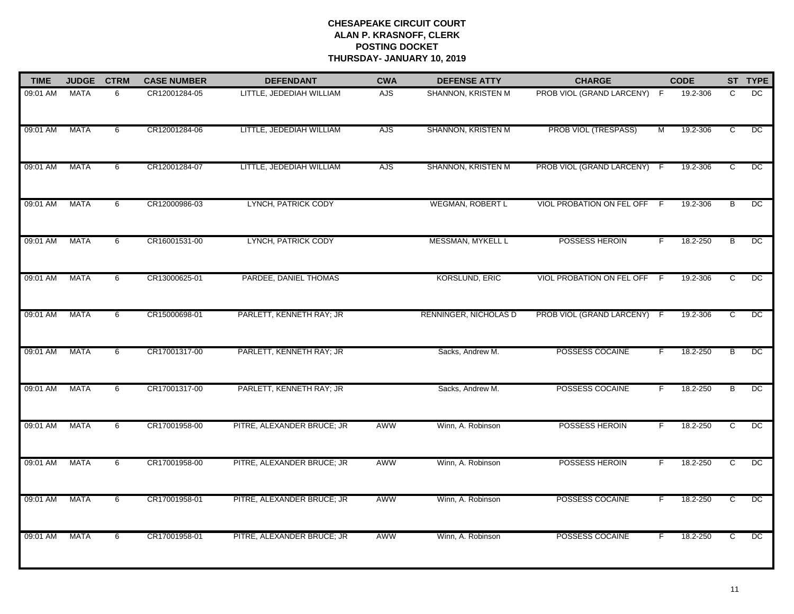| <b>TIME</b> | <b>JUDGE</b> | <b>CTRM</b> | <b>CASE NUMBER</b> | <b>DEFENDANT</b>           | <b>CWA</b> | <b>DEFENSE ATTY</b>     | <b>CHARGE</b>               |                | <b>CODE</b> |                | ST TYPE         |
|-------------|--------------|-------------|--------------------|----------------------------|------------|-------------------------|-----------------------------|----------------|-------------|----------------|-----------------|
| 09:01 AM    | <b>MATA</b>  | 6           | CR12001284-05      | LITTLE, JEDEDIAH WILLIAM   | <b>AJS</b> | SHANNON, KRISTEN M      | PROB VIOL (GRAND LARCENY) F |                | 19.2-306    | C              | DC              |
| 09:01 AM    | <b>MATA</b>  | 6           | CR12001284-06      | LITTLE, JEDEDIAH WILLIAM   | <b>AJS</b> | SHANNON, KRISTEN M      | <b>PROB VIOL (TRESPASS)</b> | $\overline{M}$ | 19.2-306    | $\overline{c}$ | DC              |
| 09:01 AM    | <b>MATA</b>  | 6           | CR12001284-07      | LITTLE, JEDEDIAH WILLIAM   | AJS        | SHANNON, KRISTEN M      | PROB VIOL (GRAND LARCENY)   | - F            | 19.2-306    | $\overline{c}$ | $\overline{DC}$ |
| 09:01 AM    | <b>MATA</b>  | 6           | CR12000986-03      | LYNCH, PATRICK CODY        |            | <b>WEGMAN, ROBERT L</b> | VIOL PROBATION ON FEL OFF   | - F            | 19.2-306    | B              | DC.             |
| 09:01 AM    | <b>MATA</b>  | 6           | CR16001531-00      | LYNCH, PATRICK CODY        |            | MESSMAN, MYKELL L       | POSSESS HEROIN              | F.             | 18.2-250    | $\overline{B}$ | $\overline{C}$  |
| 09:01 AM    | <b>MATA</b>  | 6           | CR13000625-01      | PARDEE, DANIEL THOMAS      |            | <b>KORSLUND, ERIC</b>   | VIOL PROBATION ON FEL OFF F |                | 19.2-306    | C              | DC              |
| 09:01 AM    | <b>MATA</b>  | 6           | CR15000698-01      | PARLETT, KENNETH RAY; JR   |            | RENNINGER, NICHOLAS D   | PROB VIOL (GRAND LARCENY) F |                | 19.2-306    | C              | DC              |
| 09:01 AM    | <b>MATA</b>  | 6           | CR17001317-00      | PARLETT, KENNETH RAY; JR   |            | Sacks, Andrew M.        | POSSESS COCAINE             | F              | 18.2-250    | B              | DC              |
| 09:01 AM    | <b>MATA</b>  | 6           | CR17001317-00      | PARLETT, KENNETH RAY; JR   |            | Sacks, Andrew M.        | POSSESS COCAINE             | F.             | 18.2-250    | B              | DC              |
| 09:01 AM    | <b>MATA</b>  | 6           | CR17001958-00      | PITRE, ALEXANDER BRUCE; JR | AWW        | Winn, A. Robinson       | POSSESS HEROIN              | F.             | 18.2-250    | c              | $_{\text{DC}}$  |
| 09:01 AM    | <b>MATA</b>  | 6           | CR17001958-00      | PITRE, ALEXANDER BRUCE; JR | <b>AWW</b> | Winn, A. Robinson       | POSSESS HEROIN              | F.             | 18.2-250    | C              | $\overline{C}$  |
| 09:01 AM    | <b>MATA</b>  | 6           | CR17001958-01      | PITRE, ALEXANDER BRUCE; JR | <b>AWW</b> | Winn, A. Robinson       | POSSESS COCAINE             | F.             | 18.2-250    | $\overline{c}$ | DC              |
| 09:01 AM    | <b>MATA</b>  | 6           | CR17001958-01      | PITRE, ALEXANDER BRUCE; JR | <b>AWW</b> | Winn, A. Robinson       | POSSESS COCAINE             | F.             | 18.2-250    | C              | DC              |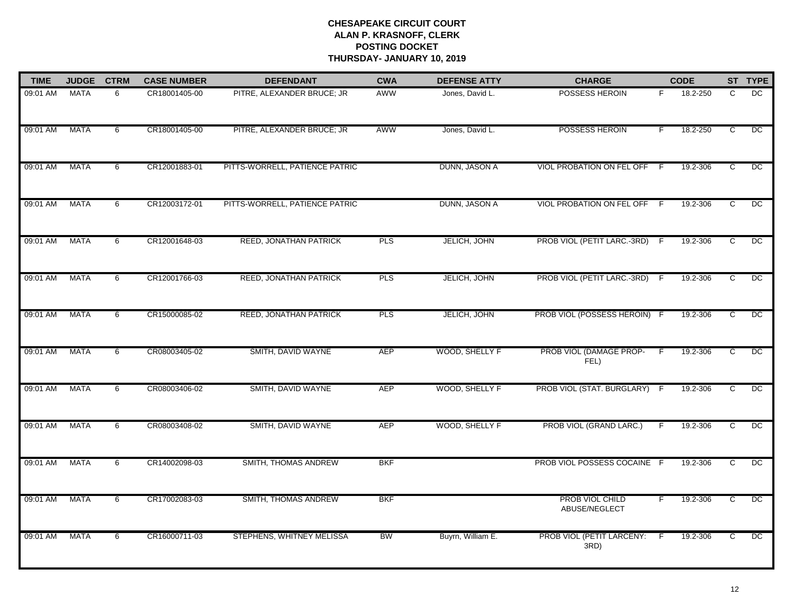| <b>TIME</b> | <b>JUDGE</b> | <b>CTRM</b> | <b>CASE NUMBER</b> | <b>DEFENDANT</b>               | <b>CWA</b> | <b>DEFENSE ATTY</b> | <b>CHARGE</b>                           |     | <b>CODE</b> |                | ST TYPE        |
|-------------|--------------|-------------|--------------------|--------------------------------|------------|---------------------|-----------------------------------------|-----|-------------|----------------|----------------|
| 09:01 AM    | <b>MATA</b>  | 6           | CR18001405-00      | PITRE, ALEXANDER BRUCE; JR     | AWW        | Jones, David L.     | POSSESS HEROIN                          | F   | 18.2-250    | C              | DC.            |
| 09:01 AM    | <b>MATA</b>  | 6           | CR18001405-00      | PITRE, ALEXANDER BRUCE; JR     | AWW        | Jones, David L.     | POSSESS HEROIN                          | F.  | 18.2-250    | $\overline{c}$ | $\overline{C}$ |
| 09:01 AM    | <b>MATA</b>  | 6           | CR12001883-01      | PITTS-WORRELL, PATIENCE PATRIC |            | DUNN, JASON A       | <b>VIOL PROBATION ON FEL OFF</b>        | - F | 19.2-306    | $\overline{c}$ | DC             |
| 09:01 AM    | <b>MATA</b>  | 6           | CR12003172-01      | PITTS-WORRELL, PATIENCE PATRIC |            | DUNN, JASON A       | VIOL PROBATION ON FEL OFF F             |     | 19.2-306    | C              | $\overline{C}$ |
| 09:01 AM    | <b>MATA</b>  | 6           | CR12001648-03      | REED, JONATHAN PATRICK         | PLS        | JELICH, JOHN        | PROB VIOL (PETIT LARC.-3RD)             | - F | 19.2-306    | C              | $\overline{C}$ |
| 09:01 AM    | MATA         | 6           | CR12001766-03      | REED, JONATHAN PATRICK         | <b>PLS</b> | JELICH, JOHN        | PROB VIOL (PETIT LARC.-3RD) F           |     | 19.2-306    | $\overline{C}$ | DC             |
| 09:01 AM    | <b>MATA</b>  | 6           | CR15000085-02      | REED, JONATHAN PATRICK         | <b>PLS</b> | JELICH, JOHN        | PROB VIOL (POSSESS HEROIN) F            |     | 19.2-306    | C              | $\overline{C}$ |
| 09:01 AM    | <b>MATA</b>  | 6           | CR08003405-02      | SMITH, DAVID WAYNE             | <b>AEP</b> | WOOD, SHELLY F      | PROB VIOL (DAMAGE PROP-<br>FEL)         | F.  | 19.2-306    | C              | $\overline{C}$ |
| 09:01 AM    | <b>MATA</b>  | 6           | CR08003406-02      | SMITH, DAVID WAYNE             | <b>AEP</b> | WOOD, SHELLY F      | PROB VIOL (STAT. BURGLARY)              | - F | 19.2-306    | $\mathbf{C}$   | DC             |
| 09:01 AM    | <b>MATA</b>  | 6           | CR08003408-02      | SMITH, DAVID WAYNE             | AEP        | WOOD, SHELLY F      | PROB VIOL (GRAND LARC.)                 | F   | 19.2-306    | C              | DC             |
| 09:01 AM    | <b>MATA</b>  | 6           | CR14002098-03      | SMITH, THOMAS ANDREW           | <b>BKF</b> |                     | PROB VIOL POSSESS COCAINE F             |     | 19.2-306    | C              | DC             |
| 09:01 AM    | <b>MATA</b>  | 6           | CR17002083-03      | SMITH, THOMAS ANDREW           | <b>BKF</b> |                     | <b>PROB VIOL CHILD</b><br>ABUSE/NEGLECT | F   | 19.2-306    | C              | $\overline{C}$ |
| 09:01 AM    | <b>MATA</b>  | 6           | CR16000711-03      | STEPHENS, WHITNEY MELISSA      | <b>BW</b>  | Buyrn, William E.   | PROB VIOL (PETIT LARCENY:<br>3RD)       | - F | 19.2-306    | C.             | DC             |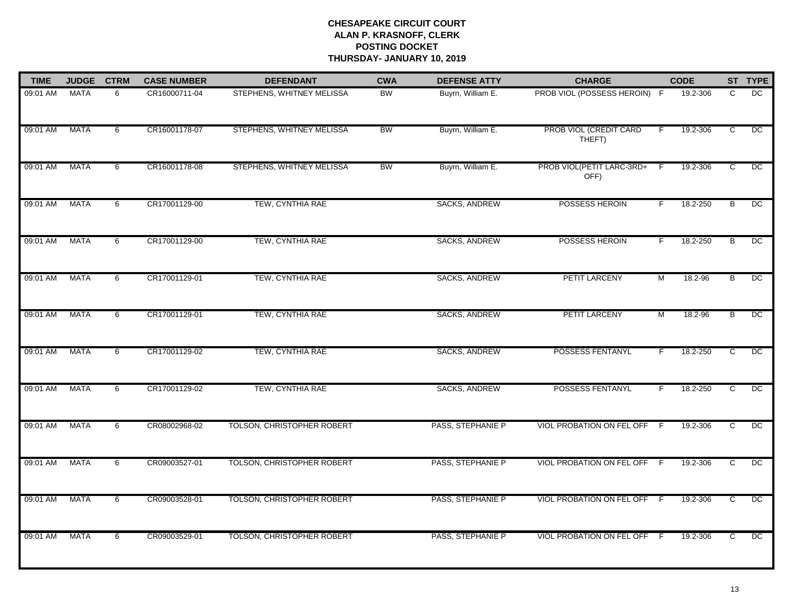| <b>TIME</b> | <b>JUDGE</b> | <b>CTRM</b> | <b>CASE NUMBER</b> | <b>DEFENDANT</b>                  | <b>CWA</b> | <b>DEFENSE ATTY</b>  | <b>CHARGE</b>                     |     | <b>CODE</b> |                | ST TYPE         |
|-------------|--------------|-------------|--------------------|-----------------------------------|------------|----------------------|-----------------------------------|-----|-------------|----------------|-----------------|
| 09:01 AM    | <b>MATA</b>  | 6           | CR16000711-04      | STEPHENS, WHITNEY MELISSA         | <b>BW</b>  | Buyrn, William E.    | PROB VIOL (POSSESS HEROIN) F      |     | 19.2-306    | C              | DC              |
| 09:01 AM    | <b>MATA</b>  | 6           | CR16001178-07      | STEPHENS, WHITNEY MELISSA         | <b>BW</b>  | Buyrn, William E.    | PROB VIOL (CREDIT CARD<br>THEFT)  | F   | 19.2-306    | C              | $\overline{C}$  |
| 09:01 AM    | <b>MATA</b>  | 6           | CR16001178-08      | STEPHENS, WHITNEY MELISSA         | BW         | Buyrn, William E.    | PROB VIOL(PETIT LARC-3RD+<br>OFF) | -F  | 19.2-306    | C              | DC              |
| 09:01 AM    | <b>MATA</b>  | 6           | CR17001129-00      | TEW, CYNTHIA RAE                  |            | SACKS, ANDREW        | POSSESS HEROIN                    | F   | 18.2-250    | B              | $\overline{C}$  |
| 09:01 AM    | <b>MATA</b>  | 6           | CR17001129-00      | TEW, CYNTHIA RAE                  |            | SACKS, ANDREW        | POSSESS HEROIN                    | F   | 18.2-250    | B              | $\overline{C}$  |
| 09:01 AM    | <b>MATA</b>  | 6           | CR17001129-01      | TEW, CYNTHIA RAE                  |            | SACKS, ANDREW        | PETIT LARCENY                     | M   | 18.2-96     | B              | DC              |
| 09:01 AM    | <b>MATA</b>  | 6           | CR17001129-01      | TEW, CYNTHIA RAE                  |            | <b>SACKS, ANDREW</b> | PETIT LARCENY                     | M   | 18.2-96     | B              | $\overline{DC}$ |
| 09:01 AM    | <b>MATA</b>  | 6           | CR17001129-02      | TEW, CYNTHIA RAE                  |            | <b>SACKS, ANDREW</b> | POSSESS FENTANYL                  |     | 18.2-250    | C              | $\overline{C}$  |
| 09:01 AM    | <b>MATA</b>  | 6           | CR17001129-02      | TEW, CYNTHIA RAE                  |            | SACKS, ANDREW        | <b>POSSESS FENTANYL</b>           | F   | 18.2-250    | C              | DC.             |
| 09:01 AM    | MATA         | 6           | CR08002968-02      | <b>TOLSON, CHRISTOPHER ROBERT</b> |            | PASS, STEPHANIE P    | VIOL PROBATION ON FEL OFF         | -F  | 19.2-306    | C              | DC              |
| 09:01 AM    | <b>MATA</b>  | 6           | CR09003527-01      | TOLSON, CHRISTOPHER ROBERT        |            | PASS, STEPHANIE P    | VIOL PROBATION ON FEL OFF F       |     | 19.2-306    | C              | DC              |
| 09:01 AM    | <b>MATA</b>  | 6           | CR09003528-01      | TOLSON, CHRISTOPHER ROBERT        |            | PASS, STEPHANIE P    | <b>VIOL PROBATION ON FEL OFF</b>  | - F | 19.2-306    | $\overline{c}$ | DC              |
| 09:01 AM    | <b>MATA</b>  | 6           | CR09003529-01      | TOLSON, CHRISTOPHER ROBERT        |            | PASS, STEPHANIE P    | VIOL PROBATION ON FEL OFF F       |     | 19.2-306    | C              | $\overline{C}$  |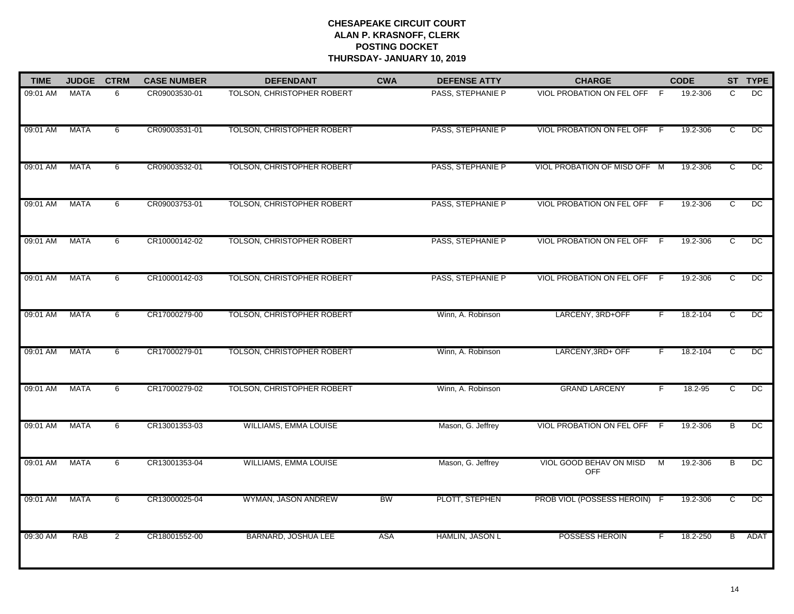| <b>TIME</b> | <b>JUDGE</b> | <b>CTRM</b>    | <b>CASE NUMBER</b> | <b>DEFENDANT</b>           | <b>CWA</b> | <b>DEFENSE ATTY</b> | <b>CHARGE</b>                         |     | <b>CODE</b> |                | ST TYPE         |
|-------------|--------------|----------------|--------------------|----------------------------|------------|---------------------|---------------------------------------|-----|-------------|----------------|-----------------|
| 09:01 AM    | <b>MATA</b>  | 6              | CR09003530-01      | TOLSON, CHRISTOPHER ROBERT |            | PASS, STEPHANIE P   | VIOL PROBATION ON FEL OFF F           |     | 19.2-306    | C              | DC              |
| 09:01 AM    | <b>MATA</b>  | 6              | CR09003531-01      | TOLSON, CHRISTOPHER ROBERT |            | PASS, STEPHANIE P   | VIOL PROBATION ON FEL OFF F           |     | 19.2-306    | C              | $\overline{DC}$ |
| 09:01 AM    | <b>MATA</b>  | 6              | CR09003532-01      | TOLSON, CHRISTOPHER ROBERT |            | PASS, STEPHANIE P   | VIOL PROBATION OF MISD OFF M          |     | 19.2-306    | C              | DC              |
| 09:01 AM    | <b>MATA</b>  | 6              | CR09003753-01      | TOLSON, CHRISTOPHER ROBERT |            | PASS, STEPHANIE P   | VIOL PROBATION ON FEL OFF F           |     | 19.2-306    | C              | $\overline{C}$  |
| 09:01 AM    | <b>MATA</b>  | 6              | CR10000142-02      | TOLSON, CHRISTOPHER ROBERT |            | PASS, STEPHANIE P   | VIOL PROBATION ON FEL OFF             | - F | 19.2-306    | C              | $\overline{DC}$ |
| 09:01 AM    | <b>MATA</b>  | 6              | CR10000142-03      | TOLSON, CHRISTOPHER ROBERT |            | PASS, STEPHANIE P   | VIOL PROBATION ON FEL OFF F           |     | 19.2-306    | C.             | DC              |
| 09:01 AM    | <b>MATA</b>  | 6              | CR17000279-00      | TOLSON, CHRISTOPHER ROBERT |            | Winn, A. Robinson   | LARCENY, 3RD+OFF                      | F   | 18.2-104    | C              | $\overline{DC}$ |
| 09:01 AM    | <b>MATA</b>  | 6              | CR17000279-01      | TOLSON, CHRISTOPHER ROBERT |            | Winn, A. Robinson   | LARCENY, 3RD+ OFF                     | F   | 18.2-104    | C              | $\overline{DC}$ |
| 09:01 AM    | <b>MATA</b>  | 6              | CR17000279-02      | TOLSON, CHRISTOPHER ROBERT |            | Winn, A. Robinson   | <b>GRAND LARCENY</b>                  | F   | 18.2-95     | C              | $\overline{C}$  |
| 09:01 AM    | MATA         | 6              | CR13001353-03      | WILLIAMS, EMMA LOUISE      |            | Mason, G. Jeffrey   | <b>VIOL PROBATION ON FEL OFF</b>      | - F | 19.2-306    | В              | DC.             |
| 09:01 AM    | <b>MATA</b>  | 6              | CR13001353-04      | WILLIAMS, EMMA LOUISE      |            | Mason, G. Jeffrey   | VIOL GOOD BEHAV ON MISD<br><b>OFF</b> | M   | 19.2-306    | B              | DC              |
| 09:01 AM    | <b>MATA</b>  | 6              | CR13000025-04      | WYMAN, JASON ANDREW        | <b>BW</b>  | PLOTT, STEPHEN      | PROB VIOL (POSSESS HEROIN) F          |     | 19.2-306    | $\overline{c}$ | DC              |
| 09:30 AM    | <b>RAB</b>   | $\overline{2}$ | CR18001552-00      | BARNARD, JOSHUA LEE        | <b>ASA</b> | HAMLIN, JASON L     | POSSESS HEROIN                        | F   | 18.2-250    | Β              | ADAT            |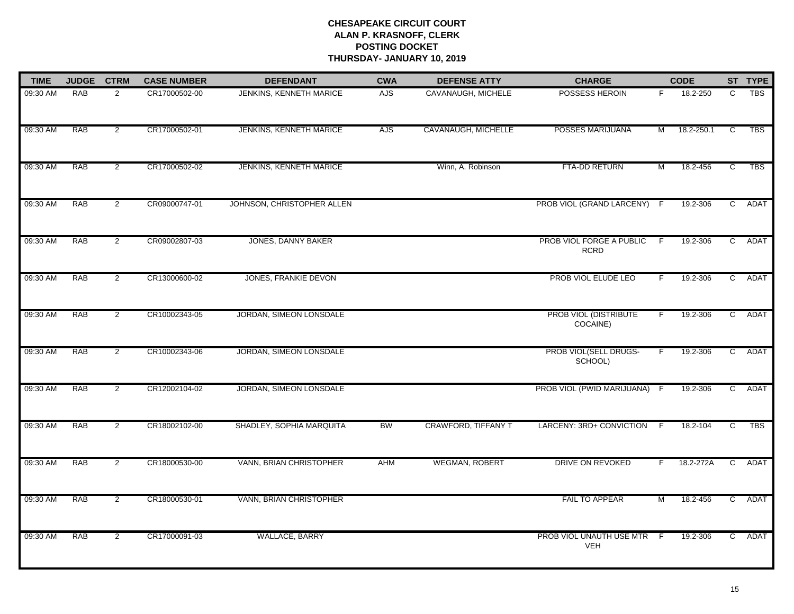| <b>TIME</b> | <b>JUDGE</b> | <b>CTRM</b>    | <b>CASE NUMBER</b> | <b>DEFENDANT</b>           | <b>CWA</b> | <b>DEFENSE ATTY</b>   | <b>CHARGE</b>                           | <b>CODE</b> |            | ST TYPE        |            |
|-------------|--------------|----------------|--------------------|----------------------------|------------|-----------------------|-----------------------------------------|-------------|------------|----------------|------------|
| 09:30 AM    | <b>RAB</b>   | $\overline{2}$ | CR17000502-00      | JENKINS, KENNETH MARICE    | <b>AJS</b> | CAVANAUGH, MICHELE    | POSSESS HEROIN                          | F.          | 18.2-250   | C              | <b>TBS</b> |
| 09:30 AM    | <b>RAB</b>   | $\overline{2}$ | CR17000502-01      | JENKINS, KENNETH MARICE    | <b>AJS</b> | CAVANAUGH, MICHELLE   | POSSES MARIJUANA                        | M           | 18.2-250.1 | $\overline{c}$ | <b>TBS</b> |
| 09:30 AM    | <b>RAB</b>   | $\overline{2}$ | CR17000502-02      | JENKINS, KENNETH MARICE    |            | Winn, A. Robinson     | FTA-DD RETURN                           | M           | 18.2-456   | $\overline{c}$ | <b>TBS</b> |
| 09:30 AM    | <b>RAB</b>   | $\overline{2}$ | CR09000747-01      | JOHNSON, CHRISTOPHER ALLEN |            |                       | PROB VIOL (GRAND LARCENY) F             |             | 19.2-306   | $\mathbf{C}$   | ADAT       |
| 09:30 AM    | <b>RAB</b>   | $\overline{2}$ | CR09002807-03      | JONES, DANNY BAKER         |            |                       | PROB VIOL FORGE A PUBLIC<br><b>RCRD</b> | F.          | 19.2-306   | $\overline{C}$ | ADAT       |
| 09:30 AM    | RAB          | $\overline{2}$ | CR13000600-02      | JONES, FRANKIE DEVON       |            |                       | PROB VIOL ELUDE LEO                     |             | 19.2-306   | $\overline{c}$ | ADAT       |
| 09:30 AM    | RAB          | $\overline{2}$ | CR10002343-05      | JORDAN, SIMEON LONSDALE    |            |                       | PROB VIOL (DISTRIBUTE<br>COCAINE)       | F           | 19.2-306   | $\overline{C}$ | ADAT       |
| 09:30 AM    | <b>RAB</b>   | $\overline{2}$ | CR10002343-06      | JORDAN, SIMEON LONSDALE    |            |                       | PROB VIOL(SELL DRUGS-<br>SCHOOL)        | F.          | 19.2-306   | $\overline{c}$ | ADAT       |
| 09:30 AM    | <b>RAB</b>   | $\overline{2}$ | CR12002104-02      | JORDAN, SIMEON LONSDALE    |            |                       | PROB VIOL (PWID MARIJUANA)              | -F          | 19.2-306   | C              | ADAT       |
| 09:30 AM    | RAB          | $\overline{2}$ | CR18002102-00      | SHADLEY, SOPHIA MARQUITA   | BW         | CRAWFORD, TIFFANY T   | LARCENY: 3RD+ CONVICTION                | F           | 18.2-104   | ट              | <b>TBS</b> |
| 09:30 AM    | <b>RAB</b>   | $\overline{2}$ | CR18000530-00      | VANN, BRIAN CHRISTOPHER    | AHM        | <b>WEGMAN, ROBERT</b> | DRIVE ON REVOKED                        | F.          | 18.2-272A  | $\overline{C}$ | ADAT       |
| 09:30 AM    | <b>RAB</b>   | $\overline{2}$ | CR18000530-01      | VANN, BRIAN CHRISTOPHER    |            |                       | FAIL TO APPEAR                          | M           | 18.2-456   | $\mathsf{C}$   | ADAT       |
| 09:30 AM    | <b>RAB</b>   | $\overline{2}$ | CR17000091-03      | <b>WALLACE, BARRY</b>      |            |                       | PROB VIOL UNAUTH USE MTR<br><b>VEH</b>  | - F         | 19.2-306   | $\overline{c}$ | ADAT       |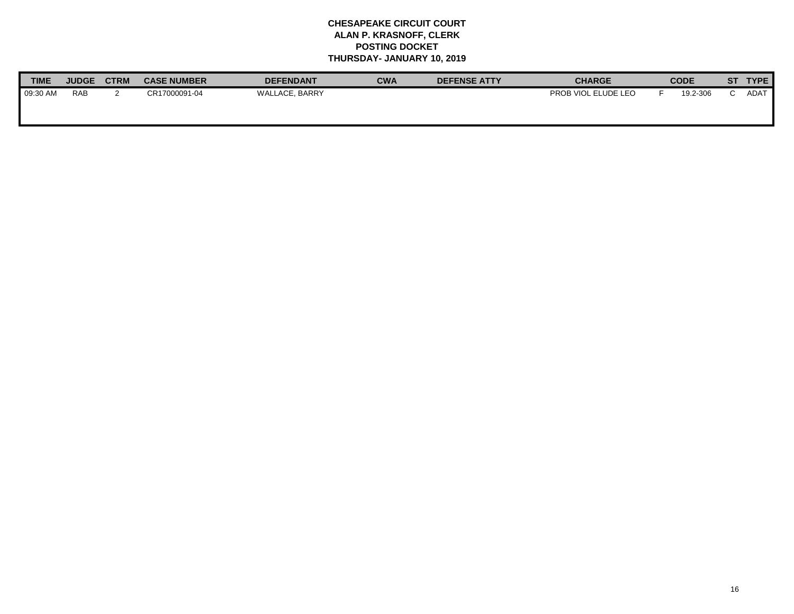| <b>TIME</b> | <b>JUDGE</b> | <b>CTRM</b> | <b>CASE NUMBER</b> | <b>DEFENDANT</b> | <b>CWA</b> | <b>DEFENSE ATTY</b> | <b>CHARGE</b>       |  | <b>CODE</b> |  | ST   |  | <b>TYPE</b> |
|-------------|--------------|-------------|--------------------|------------------|------------|---------------------|---------------------|--|-------------|--|------|--|-------------|
| 09:30 AM    | <b>RAB</b>   |             | CR17000091-04      | WALLACE, BARRY   |            |                     | PROB VIOL ELUDE LEO |  | 19.2-306    |  | ADAT |  |             |